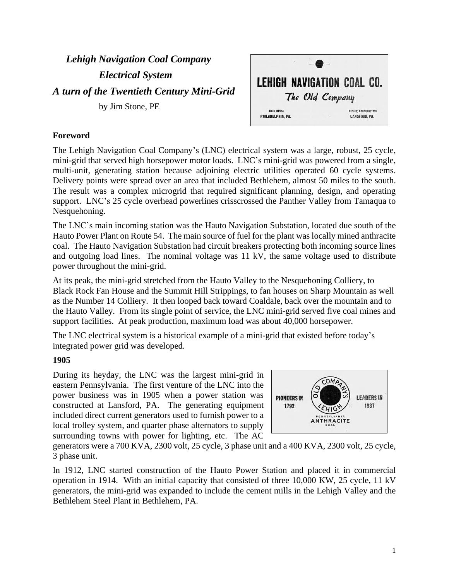*Lehigh Navigation Coal Company Electrical System A turn of the Twentieth Century Mini-Grid* by Jim Stone, PE

LEHIGH NAVIGATION COAL CO. The Old Company **Mining Headquarters Main Office** PHILADELPHIA PA LANSFORD, PA.

## **Foreword**

The Lehigh Navigation Coal Company's (LNC) electrical system was a large, robust, 25 cycle, mini-grid that served high horsepower motor loads. LNC's mini-grid was powered from a single, multi-unit, generating station because adjoining electric utilities operated 60 cycle systems. Delivery points were spread over an area that included Bethlehem, almost 50 miles to the south. The result was a complex microgrid that required significant planning, design, and operating support. LNC's 25 cycle overhead powerlines crisscrossed the Panther Valley from Tamaqua to Nesquehoning.

The LNC's main incoming station was the Hauto Navigation Substation, located due south of the Hauto Power Plant on Route 54. The main source of fuel for the plant was locally mined anthracite coal. The Hauto Navigation Substation had circuit breakers protecting both incoming source lines and outgoing load lines. The nominal voltage was 11 kV, the same voltage used to distribute power throughout the mini-grid.

At its peak, the mini-grid stretched from the Hauto Valley to the Nesquehoning Colliery, to Black Rock Fan House and the Summit Hill Strippings, to fan houses on Sharp Mountain as well as the Number 14 Colliery. It then looped back toward Coaldale, back over the mountain and to the Hauto Valley. From its single point of service, the LNC mini-grid served five coal mines and support facilities. At peak production, maximum load was about 40,000 horsepower.

The LNC electrical system is a historical example of a mini-grid that existed before today's integrated power grid was developed.

#### **1905**

During its heyday, the LNC was the largest mini-grid in eastern Pennsylvania. The first venture of the LNC into the power business was in 1905 when a power station was constructed at Lansford, PA. The generating equipment included direct current generators used to furnish power to a local trolley system, and quarter phase alternators to supply surrounding towns with power for lighting, etc. The AC



generators were a 700 KVA, 2300 volt, 25 cycle, 3 phase unit and a 400 KVA, 2300 volt, 25 cycle, 3 phase unit.

In 1912, LNC started construction of the Hauto Power Station and placed it in commercial operation in 1914. With an initial capacity that consisted of three 10,000 KW, 25 cycle, 11 kV generators, the mini-grid was expanded to include the cement mills in the Lehigh Valley and the Bethlehem Steel Plant in Bethlehem, PA.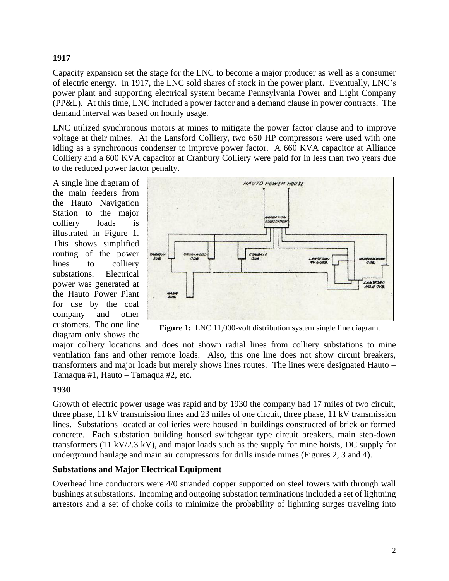# **1917**

Capacity expansion set the stage for the LNC to become a major producer as well as a consumer of electric energy. In 1917, the LNC sold shares of stock in the power plant. Eventually, LNC's power plant and supporting electrical system became Pennsylvania Power and Light Company (PP&L). At this time, LNC included a power factor and a demand clause in power contracts. The demand interval was based on hourly usage.

LNC utilized synchronous motors at mines to mitigate the power factor clause and to improve voltage at their mines. At the Lansford Colliery, two 650 HP compressors were used with one idling as a synchronous condenser to improve power factor. A 660 KVA capacitor at Alliance Colliery and a 600 KVA capacitor at Cranbury Colliery were paid for in less than two years due to the reduced power factor penalty.

A single line diagram of the main feeders from the Hauto Navigation Station to the major colliery loads is illustrated in Figure 1. This shows simplified routing of the power lines to colliery substations. Electrical power was generated at the Hauto Power Plant for use by the coal company and other customers. The one line diagram only shows the



**Figure 1:** LNC 11,000-volt distribution system single line diagram.

major colliery locations and does not shown radial lines from colliery substations to mine ventilation fans and other remote loads. Also, this one line does not show circuit breakers, transformers and major loads but merely shows lines routes. The lines were designated Hauto – Tamaqua #1, Hauto – Tamaqua #2, etc.

## **1930**

Growth of electric power usage was rapid and by 1930 the company had 17 miles of two circuit, three phase, 11 kV transmission lines and 23 miles of one circuit, three phase, 11 kV transmission lines. Substations located at collieries were housed in buildings constructed of brick or formed concrete. Each substation building housed switchgear type circuit breakers, main step-down transformers (11 kV/2.3 kV), and major loads such as the supply for mine hoists, DC supply for underground haulage and main air compressors for drills inside mines (Figures 2, 3 and 4).

## **Substations and Major Electrical Equipment**

Overhead line conductors were 4/0 stranded copper supported on steel towers with through wall bushings at substations. Incoming and outgoing substation terminations included a set of lightning arrestors and a set of choke coils to minimize the probability of lightning surges traveling into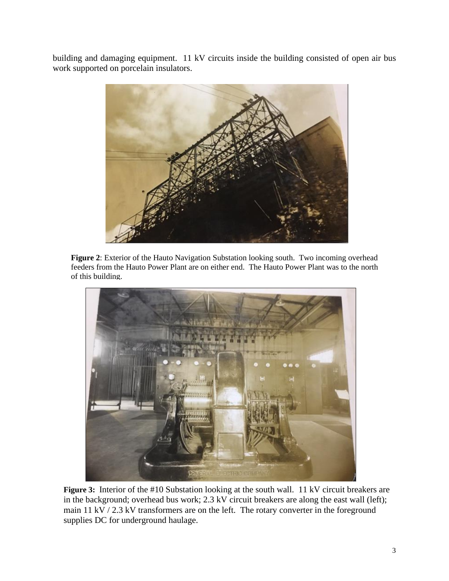building and damaging equipment. 11 kV circuits inside the building consisted of open air bus work supported on porcelain insulators.



**Figure 2**: Exterior of the Hauto Navigation Substation looking south. Two incoming overhead feeders from the Hauto Power Plant are on either end. The Hauto Power Plant was to the north of this building.



**Figure 3:** Interior of the #10 Substation looking at the south wall. 11 kV circuit breakers are in the background; overhead bus work; 2.3 kV circuit breakers are along the east wall (left); main 11 kV / 2.3 kV transformers are on the left. The rotary converter in the foreground supplies DC for underground haulage.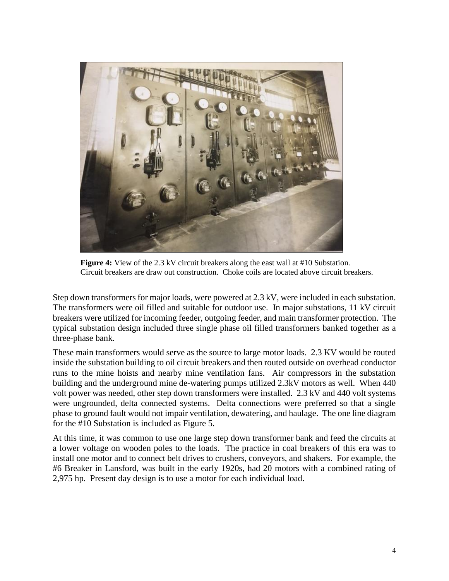

**Figure 4:** View of the 2.3 kV circuit breakers along the east wall at #10 Substation. Circuit breakers are draw out construction. Choke coils are located above circuit breakers.

Step down transformers for major loads, were powered at 2.3 kV, were included in each substation. The transformers were oil filled and suitable for outdoor use. In major substations, 11 kV circuit breakers were utilized for incoming feeder, outgoing feeder, and main transformer protection. The typical substation design included three single phase oil filled transformers banked together as a three-phase bank.

These main transformers would serve as the source to large motor loads. 2.3 KV would be routed inside the substation building to oil circuit breakers and then routed outside on overhead conductor runs to the mine hoists and nearby mine ventilation fans. Air compressors in the substation building and the underground mine de-watering pumps utilized 2.3kV motors as well. When 440 volt power was needed, other step down transformers were installed. 2.3 kV and 440 volt systems were ungrounded, delta connected systems. Delta connections were preferred so that a single phase to ground fault would not impair ventilation, dewatering, and haulage. The one line diagram for the #10 Substation is included as Figure 5.

At this time, it was common to use one large step down transformer bank and feed the circuits at a lower voltage on wooden poles to the loads. The practice in coal breakers of this era was to install one motor and to connect belt drives to crushers, conveyors, and shakers. For example, the #6 Breaker in Lansford, was built in the early 1920s, had 20 motors with a combined rating of 2,975 hp. Present day design is to use a motor for each individual load.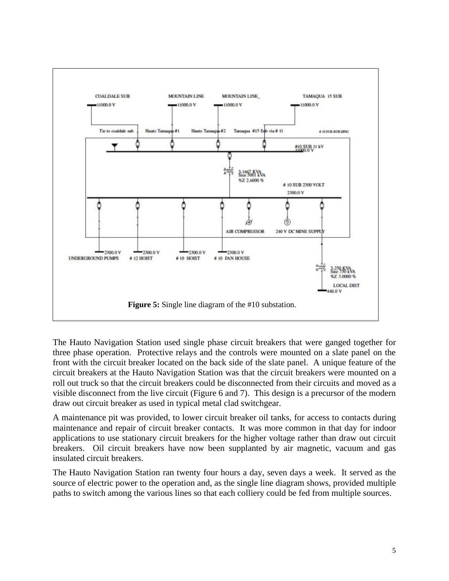

The Hauto Navigation Station used single phase circuit breakers that were ganged together for three phase operation. Protective relays and the controls were mounted on a slate panel on the front with the circuit breaker located on the back side of the slate panel. A unique feature of the circuit breakers at the Hauto Navigation Station was that the circuit breakers were mounted on a roll out truck so that the circuit breakers could be disconnected from their circuits and moved as a visible disconnect from the live circuit (Figure 6 and 7). This design is a precursor of the modern draw out circuit breaker as used in typical metal clad switchgear.

A maintenance pit was provided, to lower circuit breaker oil tanks, for access to contacts during maintenance and repair of circuit breaker contacts. It was more common in that day for indoor applications to use stationary circuit breakers for the higher voltage rather than draw out circuit breakers. Oil circuit breakers have now been supplanted by air magnetic, vacuum and gas insulated circuit breakers.

The Hauto Navigation Station ran twenty four hours a day, seven days a week. It served as the source of electric power to the operation and, as the single line diagram shows, provided multiple paths to switch among the various lines so that each colliery could be fed from multiple sources.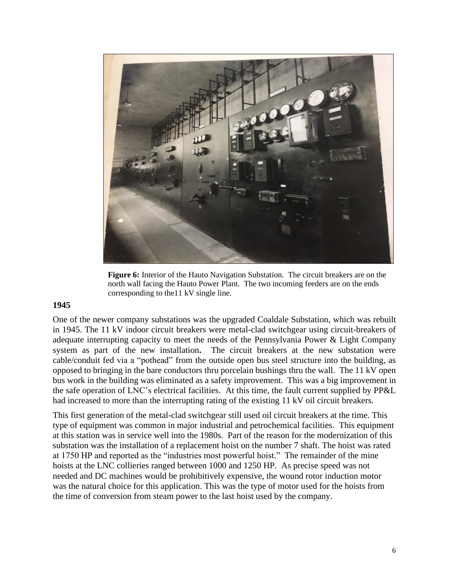

**Figure 6:** Interior of the Hauto Navigation Substation. The circuit breakers are on the north wall facing the Hauto Power Plant. The two incoming feeders are on the ends corresponding to the11 kV single line.

#### **1945**

One of the newer company substations was the upgraded Coaldale Substation, which was rebuilt in 1945. The 11 kV indoor circuit breakers were metal-clad switchgear using circuit-breakers of adequate interrupting capacity to meet the needs of the Pennsylvania Power & Light Company system as part of the new installation**.** The circuit breakers at the new substation were cable/conduit fed via a "pothead" from the outside open bus steel structure into the building, as opposed to bringing in the bare conductors thru porcelain bushings thru the wall. The 11 kV open bus work in the building was eliminated as a safety improvement. This was a big improvement in the safe operation of LNC's electrical facilities. At this time, the fault current supplied by PP&L had increased to more than the interrupting rating of the existing 11 kV oil circuit breakers.

This first generation of the metal-clad switchgear still used oil circuit breakers at the time. This type of equipment was common in major industrial and petrochemical facilities. This equipment at this station was in service well into the 1980s. Part of the reason for the modernization of this substation was the installation of a replacement hoist on the number 7 shaft. The hoist was rated at 1750 HP and reported as the "industries most powerful hoist." The remainder of the mine hoists at the LNC collieries ranged between 1000 and 1250 HP. As precise speed was not needed and DC machines would be prohibitively expensive, the wound rotor induction motor was the natural choice for this application. This was the type of motor used for the hoists from the time of conversion from steam power to the last hoist used by the company.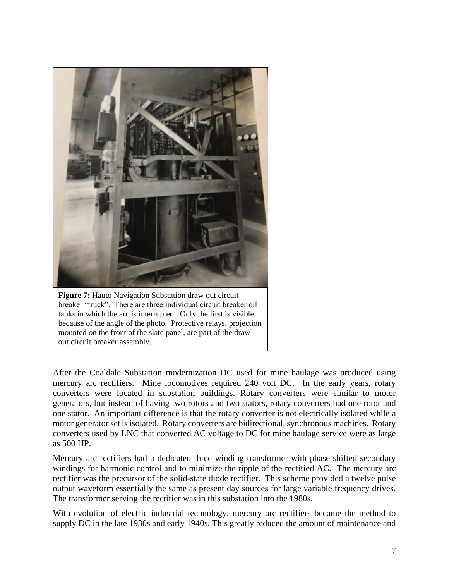

**Figure 7:** Hauto Navigation Substation draw out circuit breaker "truck". There are three individual circuit breaker oil tanks in which the arc is interrupted. Only the first is visible because of the angle of the photo. Protective relays, projection mounted on the front of the slate panel, are part of the draw out circuit breaker assembly.

After the Coaldale Substation modernization DC used for mine haulage was produced using mercury arc rectifiers. Mine locomotives required 240 volt DC. In the early years, rotary converters were located in substation buildings. Rotary converters were similar to motor generators, but instead of having two rotors and two stators, rotary converters had one rotor and one stator. An important difference is that the rotary converter is not electrically isolated while a motor generator set is isolated. Rotary converters are bidirectional, synchronous machines. Rotary converters used by LNC that converted AC voltage to DC for mine haulage service were as large as 500 HP.

Mercury arc rectifiers had a dedicated three winding transformer with phase shifted secondary windings for harmonic control and to minimize the ripple of the rectified AC. The mercury arc rectifier was the precursor of the solid-state diode rectifier. This scheme provided a twelve pulse output waveform essentially the same as present day sources for large variable frequency drives. The transformer serving the rectifier was in this substation into the 1980s.

With evolution of electric industrial technology, mercury arc rectifiers became the method to supply DC in the late 1930s and early 1940s. This greatly reduced the amount of maintenance and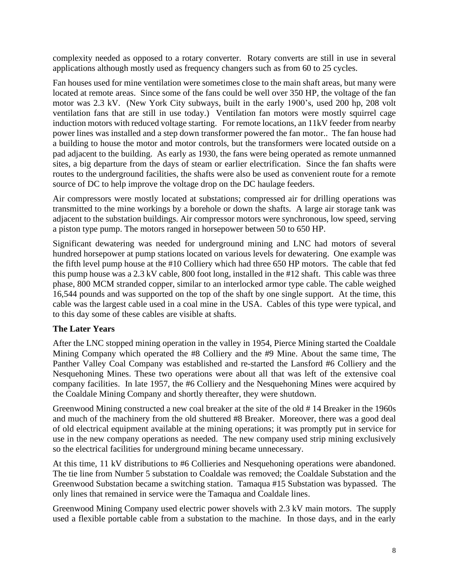complexity needed as opposed to a rotary converter. Rotary converts are still in use in several applications although mostly used as frequency changers such as from 60 to 25 cycles.

Fan houses used for mine ventilation were sometimes close to the main shaft areas, but many were located at remote areas. Since some of the fans could be well over 350 HP, the voltage of the fan motor was 2.3 kV. (New York City subways, built in the early 1900's, used 200 hp, 208 volt ventilation fans that are still in use today.) Ventilation fan motors were mostly squirrel cage induction motors with reduced voltage starting. For remote locations, an 11kV feeder from nearby power lines was installed and a step down transformer powered the fan motor.. The fan house had a building to house the motor and motor controls, but the transformers were located outside on a pad adjacent to the building. As early as 1930, the fans were being operated as remote unmanned sites, a big departure from the days of steam or earlier electrification. Since the fan shafts were routes to the underground facilities, the shafts were also be used as convenient route for a remote source of DC to help improve the voltage drop on the DC haulage feeders.

Air compressors were mostly located at substations; compressed air for drilling operations was transmitted to the mine workings by a borehole or down the shafts. A large air storage tank was adjacent to the substation buildings. Air compressor motors were synchronous, low speed, serving a piston type pump. The motors ranged in horsepower between 50 to 650 HP.

Significant dewatering was needed for underground mining and LNC had motors of several hundred horsepower at pump stations located on various levels for dewatering. One example was the fifth level pump house at the #10 Colliery which had three 650 HP motors. The cable that fed this pump house was a 2.3 kV cable, 800 foot long, installed in the #12 shaft. This cable was three phase, 800 MCM stranded copper, similar to an interlocked armor type cable. The cable weighed 16,544 pounds and was supported on the top of the shaft by one single support. At the time, this cable was the largest cable used in a coal mine in the USA. Cables of this type were typical, and to this day some of these cables are visible at shafts.

## **The Later Years**

After the LNC stopped mining operation in the valley in 1954, Pierce Mining started the Coaldale Mining Company which operated the #8 Colliery and the #9 Mine. About the same time, The Panther Valley Coal Company was established and re-started the Lansford #6 Colliery and the Nesquehoning Mines. These two operations were about all that was left of the extensive coal company facilities. In late 1957, the #6 Colliery and the Nesquehoning Mines were acquired by the Coaldale Mining Company and shortly thereafter, they were shutdown.

Greenwood Mining constructed a new coal breaker at the site of the old # 14 Breaker in the 1960s and much of the machinery from the old shuttered #8 Breaker. Moreover, there was a good deal of old electrical equipment available at the mining operations; it was promptly put in service for use in the new company operations as needed. The new company used strip mining exclusively so the electrical facilities for underground mining became unnecessary.

At this time, 11 kV distributions to #6 Collieries and Nesquehoning operations were abandoned. The tie line from Number 5 substation to Coaldale was removed; the Coaldale Substation and the Greenwood Substation became a switching station. Tamaqua #15 Substation was bypassed. The only lines that remained in service were the Tamaqua and Coaldale lines.

Greenwood Mining Company used electric power shovels with 2.3 kV main motors. The supply used a flexible portable cable from a substation to the machine. In those days, and in the early